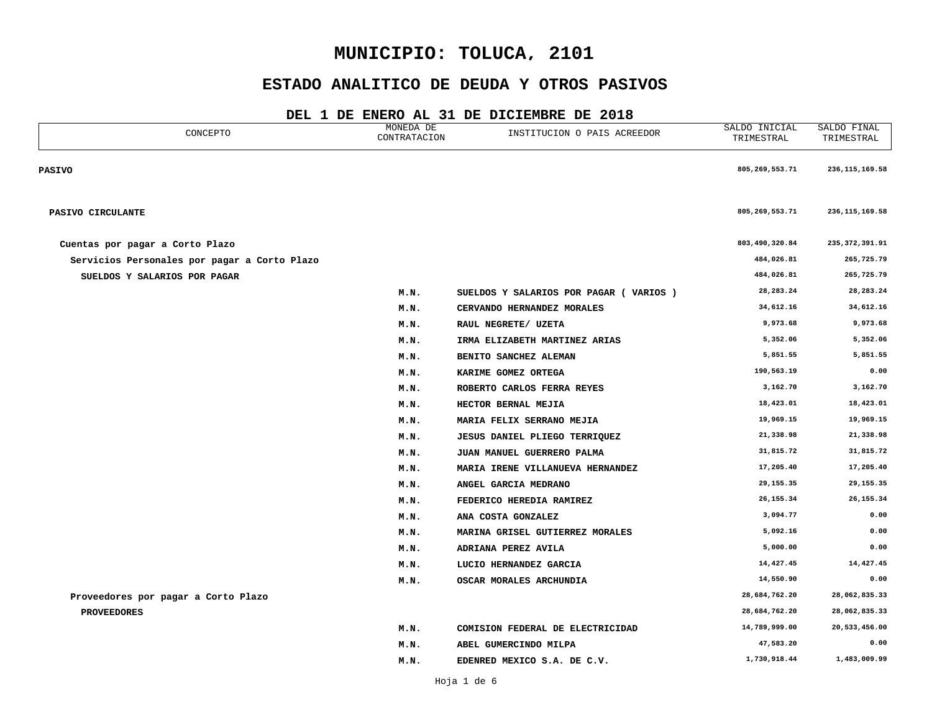### **ESTADO ANALITICO DE DEUDA Y OTROS PASIVOS**

| CONCEPTO                                     | MONEDA DE<br>CONTRATACION | INSTITUCION O PAIS ACREEDOR             | SALDO INICIAL<br>TRIMESTRAL | SALDO FINAL<br>TRIMESTRAL |
|----------------------------------------------|---------------------------|-----------------------------------------|-----------------------------|---------------------------|
| <b>PASIVO</b>                                |                           |                                         | 805,269,553.71              | 236, 115, 169.58          |
| PASIVO CIRCULANTE                            |                           |                                         | 805, 269, 553.71            | 236, 115, 169.58          |
| Cuentas por pagar a Corto Plazo              |                           |                                         | 803,490,320.84              | 235, 372, 391.91          |
| Servicios Personales por pagar a Corto Plazo |                           |                                         | 484,026.81                  | 265,725.79                |
| SUELDOS Y SALARIOS POR PAGAR                 |                           |                                         | 484,026.81                  | 265,725.79                |
|                                              | M.N.                      | SUELDOS Y SALARIOS POR PAGAR ( VARIOS ) | 28, 283. 24                 | 28, 283. 24               |
|                                              | M.N.                      | CERVANDO HERNANDEZ MORALES              | 34,612.16                   | 34,612.16                 |
|                                              | M.N.                      | RAUL NEGRETE/ UZETA                     | 9,973.68                    | 9,973.68                  |
|                                              | M.N.                      | IRMA ELIZABETH MARTINEZ ARIAS           | 5,352.06                    | 5,352.06                  |
|                                              | M.N.                      | BENITO SANCHEZ ALEMAN                   | 5,851.55                    | 5,851.55                  |
|                                              | M.N.                      | KARIME GOMEZ ORTEGA                     | 190,563.19                  | 0.00                      |
|                                              | M.N.                      | ROBERTO CARLOS FERRA REYES              | 3,162.70                    | 3,162.70                  |
|                                              | M.N.                      | HECTOR BERNAL MEJIA                     | 18,423.01                   | 18,423.01                 |
|                                              | M.N.                      | MARIA FELIX SERRANO MEJIA               | 19,969.15                   | 19,969.15                 |
|                                              | M.N.                      | JESUS DANIEL PLIEGO TERRIQUEZ           | 21,338.98                   | 21,338.98                 |
|                                              | M.N.                      | JUAN MANUEL GUERRERO PALMA              | 31,815.72                   | 31,815.72                 |
|                                              | M.N.                      | MARIA IRENE VILLANUEVA HERNANDEZ        | 17,205.40                   | 17,205.40                 |
|                                              | M.N.                      | ANGEL GARCIA MEDRANO                    | 29, 155. 35                 | 29,155.35                 |
|                                              | M.N.                      | FEDERICO HEREDIA RAMIREZ                | 26, 155.34                  | 26, 155.34                |
|                                              | M.N.                      | ANA COSTA GONZALEZ                      | 3,094.77                    | 0.00                      |
|                                              | M.N.                      | MARINA GRISEL GUTIERREZ MORALES         | 5,092.16                    | 0.00                      |
|                                              | M.N.                      | ADRIANA PEREZ AVILA                     | 5,000.00                    | 0.00                      |
|                                              | M.N.                      | LUCIO HERNANDEZ GARCIA                  | 14,427.45                   | 14,427.45                 |
|                                              | M.N.                      | OSCAR MORALES ARCHUNDIA                 | 14,550.90                   | 0.00                      |
| Proveedores por pagar a Corto Plazo          |                           |                                         | 28,684,762.20               | 28,062,835.33             |
| <b>PROVEEDORES</b>                           |                           |                                         | 28,684,762.20               | 28,062,835.33             |
|                                              | M.N.                      | COMISION FEDERAL DE ELECTRICIDAD        | 14,789,999.00               | 20,533,456.00             |
|                                              | M.N.                      | ABEL GUMERCINDO MILPA                   | 47,583.20                   | 0.00                      |
|                                              | M.N.                      | EDENRED MEXICO S.A. DE C.V.             | 1,730,918.44                | 1,483,009.99              |
|                                              |                           |                                         |                             |                           |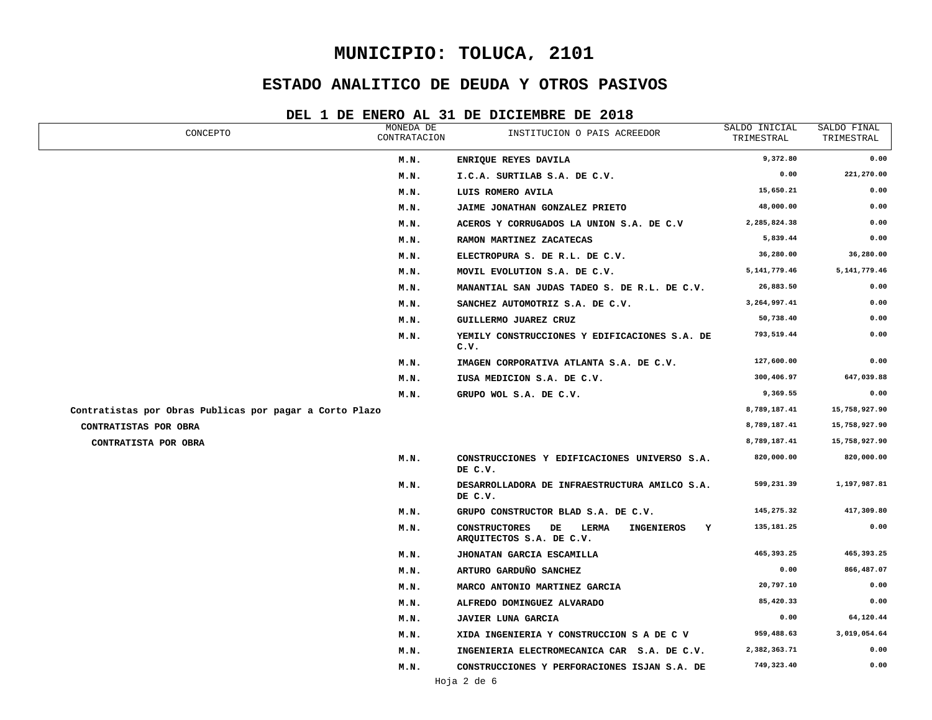### **ESTADO ANALITICO DE DEUDA Y OTROS PASIVOS**

| CONCEPTO                                                | MONEDA DE<br>CONTRATACION | INSTITUCION O PAIS ACREEDOR                                                               | SALDO INICIAL<br>TRIMESTRAL | SALDO FINAL<br>TRIMESTRAL |
|---------------------------------------------------------|---------------------------|-------------------------------------------------------------------------------------------|-----------------------------|---------------------------|
|                                                         | M.N.                      | ENRIQUE REYES DAVILA                                                                      | 9,372.80                    | 0.00                      |
|                                                         | M.N.                      | I.C.A. SURTILAB S.A. DE C.V.                                                              | 0.00                        | 221,270.00                |
|                                                         | M.N.                      | LUIS ROMERO AVILA                                                                         | 15,650.21                   | 0.00                      |
|                                                         | M.N.                      | JAIME JONATHAN GONZALEZ PRIETO                                                            | 48,000.00                   | 0.00                      |
|                                                         | M.N.                      | ACEROS Y CORRUGADOS LA UNION S.A. DE C.V                                                  | 2,285,824.38                | 0.00                      |
|                                                         | M.N.                      | RAMON MARTINEZ ZACATECAS                                                                  | 5,839.44                    | 0.00                      |
|                                                         | M.N.                      | ELECTROPURA S. DE R.L. DE C.V.                                                            | 36,280.00                   | 36,280.00                 |
|                                                         | M.N.                      | MOVIL EVOLUTION S.A. DE C.V.                                                              | 5, 141, 779. 46             | 5, 141, 779.46            |
|                                                         | M.N.                      | MANANTIAL SAN JUDAS TADEO S. DE R.L. DE C.V.                                              | 26,883.50                   | 0.00                      |
|                                                         | M.N.                      | SANCHEZ AUTOMOTRIZ S.A. DE C.V.                                                           | 3,264,997.41                | 0.00                      |
|                                                         | M.N.                      | GUILLERMO JUAREZ CRUZ                                                                     | 50,738.40                   | 0.00                      |
|                                                         | M.N.                      | YEMILY CONSTRUCCIONES Y EDIFICACIONES S.A. DE<br>c.v.                                     | 793,519.44                  | 0.00                      |
|                                                         | M.N.                      | IMAGEN CORPORATIVA ATLANTA S.A. DE C.V.                                                   | 127,600.00                  | 0.00                      |
|                                                         | M.N.                      | IUSA MEDICION S.A. DE C.V.                                                                | 300,406.97                  | 647,039.88                |
|                                                         | M.N.                      | GRUPO WOL S.A. DE C.V.                                                                    | 9,369.55                    | 0.00                      |
| Contratistas por Obras Publicas por pagar a Corto Plazo |                           |                                                                                           | 8,789,187.41                | 15,758,927.90             |
| CONTRATISTAS POR OBRA                                   |                           |                                                                                           | 8,789,187.41                | 15,758,927.90             |
| CONTRATISTA POR OBRA                                    |                           |                                                                                           | 8,789,187.41                | 15,758,927.90             |
|                                                         | M.N.                      | CONSTRUCCIONES Y EDIFICACIONES UNIVERSO S.A.<br>DE C.V.                                   | 820,000.00                  | 820,000.00                |
|                                                         | M.N.                      | DESARROLLADORA DE INFRAESTRUCTURA AMILCO S.A.<br>DE C.V.                                  | 599,231.39                  | 1,197,987.81              |
|                                                         | M.N.                      | GRUPO CONSTRUCTOR BLAD S.A. DE C.V.                                                       | 145,275.32                  | 417,309.80                |
|                                                         | M.N.                      | <b>CONSTRUCTORES</b><br>DE<br><b>LERMA</b><br>INGENIEROS<br>Y<br>ARQUITECTOS S.A. DE C.V. | 135,181.25                  | 0.00                      |
|                                                         | M.N.                      | JHONATAN GARCIA ESCAMILLA                                                                 | 465, 393.25                 | 465, 393.25               |
|                                                         | M.N.                      | ARTURO GARDUÑO SANCHEZ                                                                    | 0.00                        | 866,487.07                |
|                                                         | M.N.                      | MARCO ANTONIO MARTINEZ GARCIA                                                             | 20,797.10                   | 0.00                      |
|                                                         | M.N.                      | ALFREDO DOMINGUEZ ALVARADO                                                                | 85,420.33                   | 0.00                      |
|                                                         | M.N.                      | <b>JAVIER LUNA GARCIA</b>                                                                 | 0.00                        | 64,120.44                 |
|                                                         | M.N.                      | XIDA INGENIERIA Y CONSTRUCCION S A DE C V                                                 | 959,488.63                  | 3,019,054.64              |
|                                                         | M.N.                      | INGENIERIA ELECTROMECANICA CAR S.A. DE C.V.                                               | 2,382,363.71                | 0.00                      |
|                                                         | M.N.                      | CONSTRUCCIONES Y PERFORACIONES ISJAN S.A. DE                                              | 749,323.40                  | 0.00                      |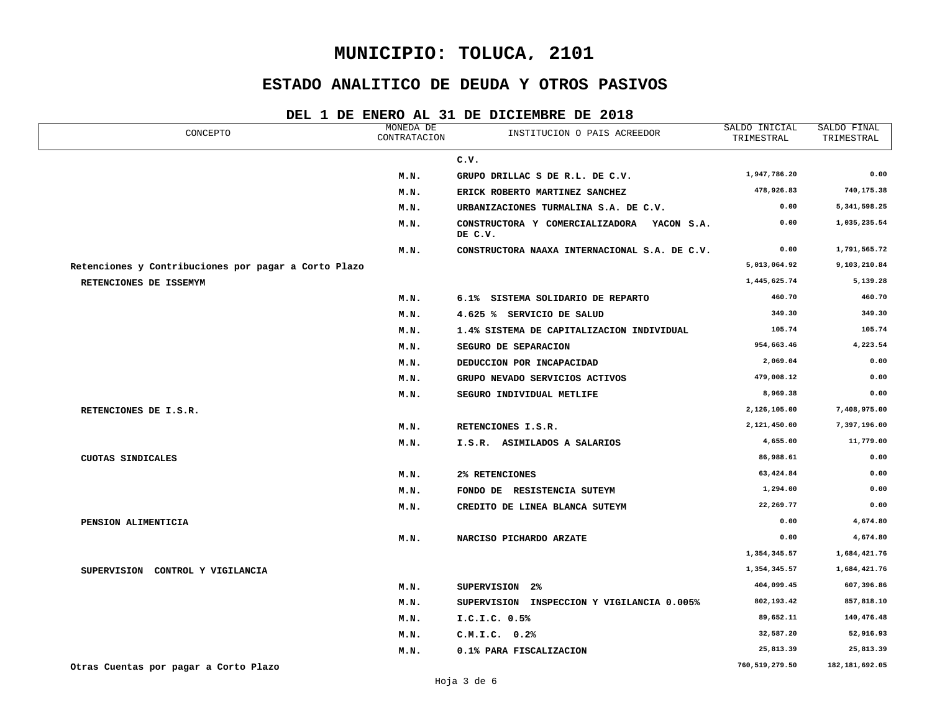## **ESTADO ANALITICO DE DEUDA Y OTROS PASIVOS**

| CONCEPTO                                             | MONEDA DE<br>CONTRATACION | INSTITUCION O PAIS ACREEDOR                           | SALDO INICIAL<br>TRIMESTRAL | SALDO FINAL<br>TRIMESTRAL |
|------------------------------------------------------|---------------------------|-------------------------------------------------------|-----------------------------|---------------------------|
|                                                      |                           | C.V.                                                  |                             |                           |
|                                                      | M.N.                      | GRUPO DRILLAC S DE R.L. DE C.V.                       | 1,947,786.20                | 0.00                      |
|                                                      | M.N.                      | ERICK ROBERTO MARTINEZ SANCHEZ                        | 478,926.83                  | 740,175.38                |
|                                                      | M.N.                      | URBANIZACIONES TURMALINA S.A. DE C.V.                 | 0.00                        | 5, 341, 598.25            |
|                                                      | M.N.                      | CONSTRUCTORA Y COMERCIALIZADORA YACON S.A.<br>DE C.V. | 0.00                        | 1,035,235.54              |
|                                                      | M.N.                      | CONSTRUCTORA NAAXA INTERNACIONAL S.A. DE C.V.         | 0.00                        | 1,791,565.72              |
| Retenciones y Contribuciones por pagar a Corto Plazo |                           |                                                       | 5,013,064.92                | 9,103,210.84              |
| RETENCIONES DE ISSEMYM                               |                           |                                                       | 1,445,625.74                | 5,139.28                  |
|                                                      | M.N.                      | 6.1% SISTEMA SOLIDARIO DE REPARTO                     | 460.70                      | 460.70                    |
|                                                      | M.N.                      | 4.625 % SERVICIO DE SALUD                             | 349.30                      | 349.30                    |
|                                                      | M.N.                      | 1.4% SISTEMA DE CAPITALIZACION INDIVIDUAL             | 105.74                      | 105.74                    |
|                                                      | M.N.                      | SEGURO DE SEPARACION                                  | 954,663.46                  | 4,223.54                  |
|                                                      | M.N.                      | DEDUCCION POR INCAPACIDAD                             | 2,069.04                    | 0.00                      |
|                                                      | M.N.                      | GRUPO NEVADO SERVICIOS ACTIVOS                        | 479,008.12                  | 0.00                      |
|                                                      | M.N.                      | SEGURO INDIVIDUAL METLIFE                             | 8,969.38                    | 0.00                      |
| RETENCIONES DE I.S.R.                                |                           |                                                       | 2,126,105.00                | 7,408,975.00              |
|                                                      | M.N.                      | RETENCIONES I.S.R.                                    | 2,121,450.00                | 7,397,196.00              |
|                                                      | M.N.                      | I.S.R. ASIMILADOS A SALARIOS                          | 4,655.00                    | 11,779.00                 |
| CUOTAS SINDICALES                                    |                           |                                                       | 86,988.61                   | 0.00                      |
|                                                      | M.N.                      | 2% RETENCIONES                                        | 63,424.84                   | 0.00                      |
|                                                      | M.N.                      | FONDO DE RESISTENCIA SUTEYM                           | 1,294.00                    | 0.00                      |
|                                                      | M.N.                      | CREDITO DE LINEA BLANCA SUTEYM                        | 22,269.77                   | 0.00                      |
| PENSION ALIMENTICIA                                  |                           |                                                       | 0.00                        | 4,674.80                  |
|                                                      | M.N.                      | NARCISO PICHARDO ARZATE                               | 0.00                        | 4,674.80                  |
|                                                      |                           |                                                       | 1,354,345.57                | 1,684,421.76              |
| SUPERVISION CONTROL Y VIGILANCIA                     |                           |                                                       | 1,354,345.57                | 1,684,421.76              |
|                                                      | M.N.                      | SUPERVISION 2%                                        | 404,099.45                  | 607,396.86                |
|                                                      | M.N.                      | SUPERVISION INSPECCION Y VIGILANCIA 0.005%            | 802,193.42                  | 857,818.10                |
|                                                      | M.N.                      | I.C.I.C. 0.5%                                         | 89,652.11                   | 140,476.48                |
|                                                      | M.N.                      | C.M.I.C. 0.2%                                         | 32,587.20                   | 52,916.93                 |
|                                                      | M.N.                      | 0.1% PARA FISCALIZACION                               | 25,813.39                   | 25,813.39                 |
| Otras Cuentas por pagar a Corto Plazo                |                           |                                                       | 760,519,279.50              | 182, 181, 692.05          |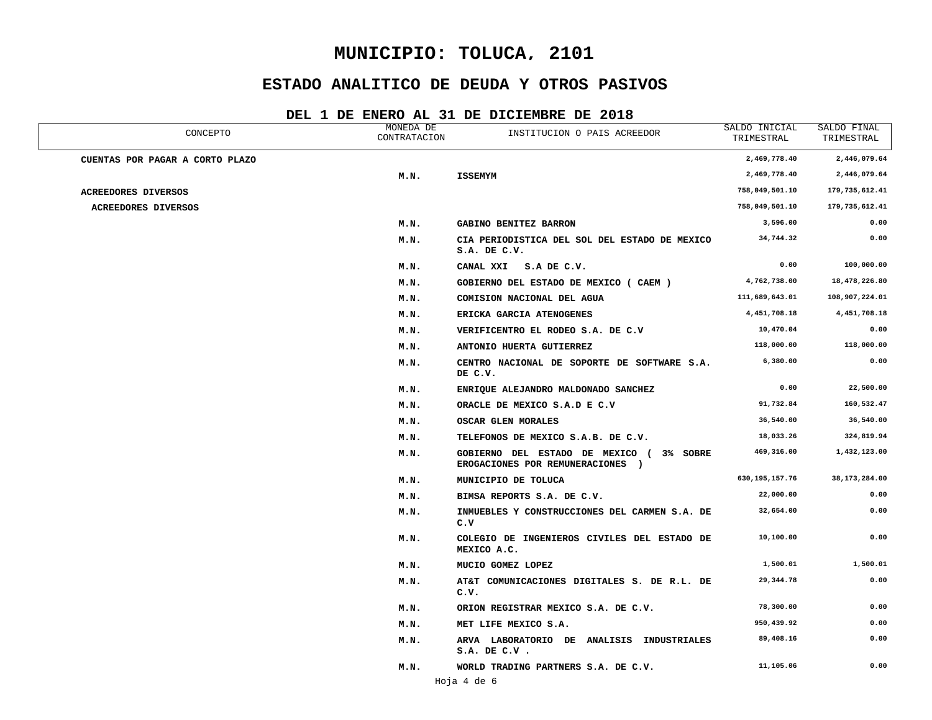## **ESTADO ANALITICO DE DEUDA Y OTROS PASIVOS**

| CONCEPTO                        | MONEDA DE<br>CONTRATACION | INSTITUCION O PAIS ACREEDOR                                                 | SALDO INICIAL<br>TRIMESTRAL | SALDO FINAL<br>TRIMESTRAL |
|---------------------------------|---------------------------|-----------------------------------------------------------------------------|-----------------------------|---------------------------|
| CUENTAS POR PAGAR A CORTO PLAZO |                           |                                                                             | 2,469,778.40                | 2,446,079.64              |
|                                 | M.N.                      | <b>ISSEMYM</b>                                                              | 2,469,778.40                | 2,446,079.64              |
| ACREEDORES DIVERSOS             |                           |                                                                             | 758,049,501.10              | 179, 735, 612.41          |
| <b>ACREEDORES DIVERSOS</b>      |                           |                                                                             | 758,049,501.10              | 179,735,612.41            |
|                                 | M.N.                      | GABINO BENITEZ BARRON                                                       | 3,596.00                    | 0.00                      |
|                                 | M.N.                      | CIA PERIODISTICA DEL SOL DEL ESTADO DE MEXICO<br>S.A. DE C.V.               | 34,744.32                   | 0.00                      |
|                                 | M.N.                      | CANAL XXI S.A DE C.V.                                                       | 0.00                        | 100,000.00                |
|                                 | M.N.                      | GOBIERNO DEL ESTADO DE MEXICO (CAEM)                                        | 4,762,738.00                | 18,478,226.80             |
|                                 | M.N.                      | COMISION NACIONAL DEL AGUA                                                  | 111,689,643.01              | 108,907,224.01            |
|                                 | M.N.                      | ERICKA GARCIA ATENOGENES                                                    | 4,451,708.18                | 4,451,708.18              |
|                                 | M.N.                      | VERIFICENTRO EL RODEO S.A. DE C.V                                           | 10,470.04                   | 0.00                      |
|                                 | M.N.                      | ANTONIO HUERTA GUTIERREZ                                                    | 118,000.00                  | 118,000.00                |
|                                 | M.N.                      | CENTRO NACIONAL DE SOPORTE DE SOFTWARE S.A.<br>DE C.V.                      | 6,380.00                    | 0.00                      |
|                                 | M.N.                      | ENRIQUE ALEJANDRO MALDONADO SANCHEZ                                         | 0.00                        | 22,500.00                 |
|                                 | M.N.                      | ORACLE DE MEXICO S.A.D E C.V                                                | 91,732.84                   | 160,532.47                |
|                                 | M.N.                      | OSCAR GLEN MORALES                                                          | 36,540.00                   | 36,540.00                 |
|                                 | M.N.                      | TELEFONOS DE MEXICO S.A.B. DE C.V.                                          | 18,033.26                   | 324,819.94                |
|                                 | M.N.                      | GOBIERNO DEL ESTADO DE MEXICO (3% SOBRE<br>EROGACIONES POR REMUNERACIONES ) | 469,316.00                  | 1,432,123.00              |
|                                 | M.N.                      | MUNICIPIO DE TOLUCA                                                         | 630, 195, 157.76            | 38, 173, 284.00           |
|                                 | M.N.                      | BIMSA REPORTS S.A. DE C.V.                                                  | 22,000.00                   | 0.00                      |
|                                 | M.N.                      | INMUEBLES Y CONSTRUCCIONES DEL CARMEN S.A. DE<br>c.v                        | 32,654.00                   | 0.00                      |
|                                 | M.N.                      | COLEGIO DE INGENIEROS CIVILES DEL ESTADO DE<br>MEXICO A.C.                  | 10,100.00                   | 0.00                      |
|                                 | M.N.                      | MUCIO GOMEZ LOPEZ                                                           | 1,500.01                    | 1,500.01                  |
|                                 | M.N.                      | AT&T COMUNICACIONES DIGITALES S. DE R.L. DE<br>c.v.                         | 29, 344.78                  | 0.00                      |
|                                 | M.N.                      | ORION REGISTRAR MEXICO S.A. DE C.V.                                         | 78,300.00                   | 0.00                      |
|                                 | M.N.                      | MET LIFE MEXICO S.A.                                                        | 950,439.92                  | 0.00                      |
|                                 | M.N.                      | ARVA LABORATORIO DE ANALISIS INDUSTRIALES<br>$S.A.$ DE $C.V.$               | 89,408.16                   | 0.00                      |
|                                 | M.N.                      | WORLD TRADING PARTNERS S.A. DE C.V.<br>Hoja 4 de 6                          | 11,105.06                   | 0.00                      |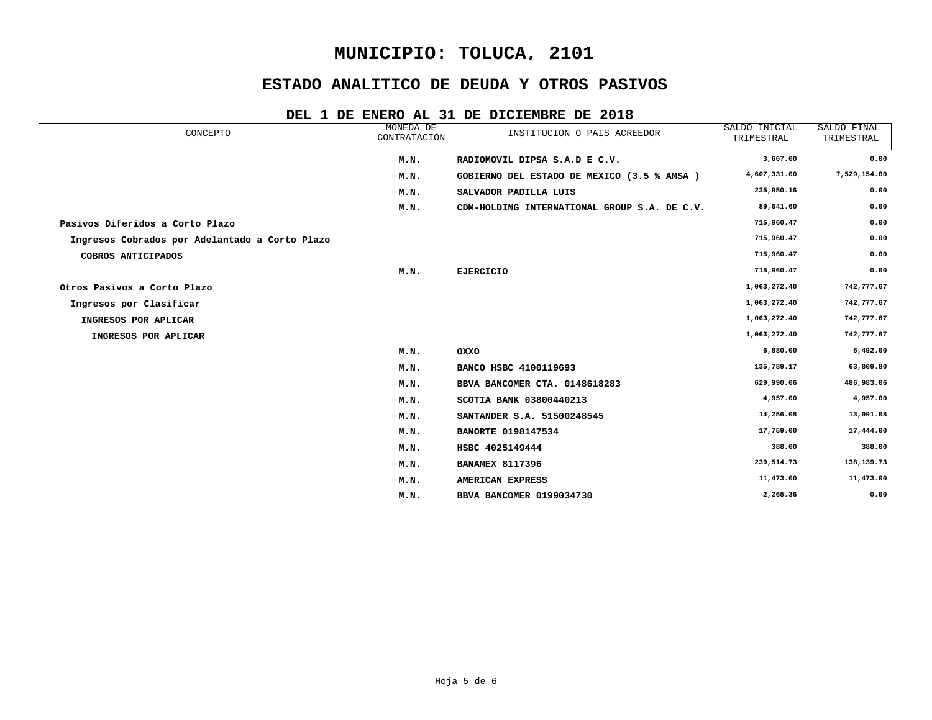## **ESTADO ANALITICO DE DEUDA Y OTROS PASIVOS**

| CONCEPTO                                       | MONEDA DE<br>CONTRATACION | INSTITUCION O PAIS ACREEDOR                  | SALDO INICIAL<br>TRIMESTRAL | SALDO FINAL<br>TRIMESTRAL |
|------------------------------------------------|---------------------------|----------------------------------------------|-----------------------------|---------------------------|
|                                                | M.N.                      | RADIOMOVIL DIPSA S.A.D E C.V.                | 3,667.00                    | 0.00                      |
|                                                | M.N.                      | GOBIERNO DEL ESTADO DE MEXICO (3.5 % AMSA)   | 4,607,331.00                | 7,529,154.00              |
|                                                | M.N.                      | SALVADOR PADILLA LUIS                        | 235,950.16                  | 0.00                      |
|                                                | M.N.                      | CDM-HOLDING INTERNATIONAL GROUP S.A. DE C.V. | 89,641.60                   | 0.00                      |
| Pasivos Diferidos a Corto Plazo                |                           |                                              | 715,960.47                  | 0.00                      |
| Ingresos Cobrados por Adelantado a Corto Plazo |                           |                                              | 715,960.47                  | 0.00                      |
| COBROS ANTICIPADOS                             |                           |                                              | 715,960.47                  | 0.00                      |
|                                                | M.N.                      | <b>EJERCICIO</b>                             | 715,960.47                  | 0.00                      |
| Otros Pasivos a Corto Plazo                    |                           |                                              | 1,063,272.40                | 742,777.67                |
| Ingresos por Clasificar                        |                           |                                              | 1,063,272.40                | 742,777.67                |
| INGRESOS POR APLICAR                           |                           |                                              | 1,063,272.40                | 742,777.67                |
| INGRESOS POR APLICAR                           |                           |                                              | 1,063,272.40                | 742,777.67                |
|                                                | M.N.                      | OXXO                                         | 6,880.00                    | 6,492.00                  |
|                                                | M.N.                      | BANCO HSBC 4100119693                        | 135,789.17                  | 63,809.80                 |
|                                                | M.N.                      | BBVA BANCOMER CTA. 0148618283                | 629,990.06                  | 486,983.06                |
|                                                | M.N.                      | SCOTIA BANK 03800440213                      | 4,957.00                    | 4,957.00                  |
|                                                | M.N.                      | SANTANDER S.A. 51500248545                   | 14,256.08                   | 13,091.08                 |
|                                                | M.N.                      | <b>BANORTE 0198147534</b>                    | 17,759.00                   | 17,444.00                 |
|                                                | M.N.                      | HSBC 4025149444                              | 388.00                      | 388.00                    |
|                                                | M.N.                      | <b>BANAMEX 8117396</b>                       | 239,514.73                  | 138,139.73                |
|                                                | M.N.                      | AMERICAN EXPRESS                             | 11,473.00                   | 11,473.00                 |
|                                                | M.N.                      | BBVA BANCOMER 0199034730                     | 2,265.36                    | 0.00                      |